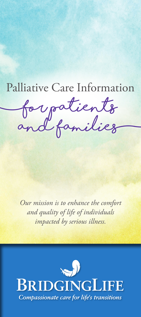# Palliative Care Information

**(for patients and families)**

*Our mission is to enhance the comfort and quality of life of individuals impacted by serious illness.*

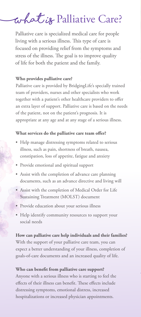## **( What is** Palliative Care?

Palliative care is specialized medical care for people living with a serious illness. This type of care is focused on providing relief from the symptoms and stress of the illness. The goal is to improve quality of life for both the patient and the family.

#### **Who provides palliative care?**

Palliative care is provided by BridgingLife's specially trained team of providers, nurses and other specialists who work together with a patient's other healthcare providers to offer an extra layer of support. Palliative care is based on the needs of the patient, not on the patient's prognosis. It is appropriate at any age and at any stage of a serious illness.

#### **What services do the palliative care team offer?**

- Help manage distressing symptoms related to serious illness, such as pain, shortness of breath, nausea, constipation, loss of appetite, fatigue and anxiety
- Provide emotional and spiritual support
- Assist with the completion of advance care planning documents, such as an advance directive and living will
- Assist with the completion of Medical Order for Life Sustaining Treatment (MOLST) document
- Provide education about your serious illness
- Help identify community resources to support your social needs

#### **How can palliative care help individuals and their families?**

With the support of your palliative care team, you can expect a better understanding of your illness, completion of goals-of-care documents and an increased quality of life.

#### **Who can benefit from palliative care support?**

Anyone with a serious illness who is starting to feel the effects of their illness can benefit. These effects include distressing symptoms, emotional distress, increased hospitalizations or increased physician appointments.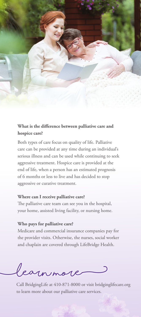

### **What is the difference between palliative care and hospice care?**

Both types of care focus on quality of life. Palliative care can be provided at any time during an individual's serious illness and can be used while continuing to seek aggressive treatment. Hospice care is provided at the end of life, when a person has an estimated prognosis of 6 months or less to live and has decided to stop aggressive or curative treatment.

#### **Where can I receive palliative care?**

The palliative care team can see you in the hospital, your home, assisted living facility, or nursing home.

#### **Who pays for palliative care?**

Medicare and commercial insurance companies pay for the provider visits. Otherwise, the nurses, social worker and chaplain are covered through LifeBridge Health.

**(Learn more)**

Call BridgingLife at 410-871-8000 or visit bridginglifecare.org to learn more about our palliative care services.